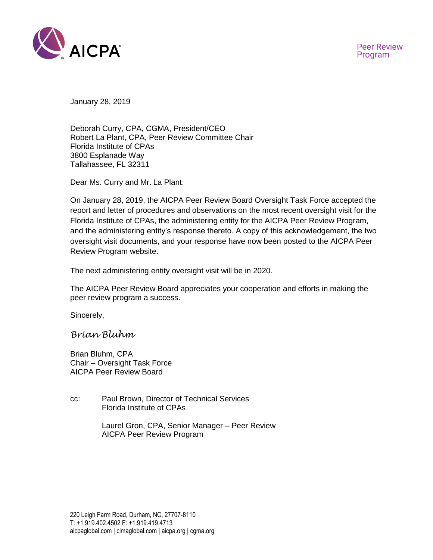

January 28, 2019

Deborah Curry, CPA, CGMA, President/CEO Robert La Plant, CPA, Peer Review Committee Chair Florida Institute of CPAs 3800 Esplanade Way Tallahassee, FL 32311

Dear Ms. Curry and Mr. La Plant:

On January 28, 2019, the AICPA Peer Review Board Oversight Task Force accepted the report and letter of procedures and observations on the most recent oversight visit for the Florida Institute of CPAs, the administering entity for the AICPA Peer Review Program, and the administering entity's response thereto. A copy of this acknowledgement, the two oversight visit documents, and your response have now been posted to the AICPA Peer Review Program website.

The next administering entity oversight visit will be in 2020.

The AICPA Peer Review Board appreciates your cooperation and efforts in making the peer review program a success.

Sincerely,

*Brian Bluhm*

Brian Bluhm, CPA Chair – Oversight Task Force AICPA Peer Review Board

- cc: Paul Brown, Director of Technical Services Florida Institute of CPAs
	- Laurel Gron, CPA, Senior Manager Peer Review AICPA Peer Review Program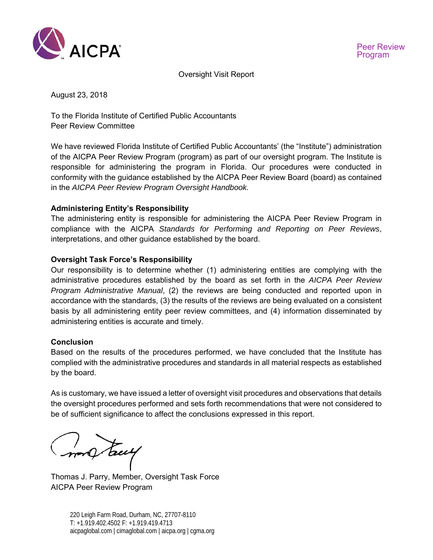

Oversight Visit Report

August 23, 2018

To the Florida Institute of Certified Public Accountants Peer Review Committee

We have reviewed Florida Institute of Certified Public Accountants' (the "Institute") administration of the AICPA Peer Review Program (program) as part of our oversight program. The Institute is responsible for administering the program in Florida. Our procedures were conducted in conformity with the guidance established by the AICPA Peer Review Board (board) as contained in the *AICPA Peer Review Program Oversight Handbook.* 

# **Administering Entity's Responsibility**

The administering entity is responsible for administering the AICPA Peer Review Program in compliance with the AICPA *Standards for Performing and Reporting on Peer Reviews*, interpretations, and other guidance established by the board.

# **Oversight Task Force's Responsibility**

Our responsibility is to determine whether (1) administering entities are complying with the administrative procedures established by the board as set forth in the *AICPA Peer Review Program Administrative Manual*, (2) the reviews are being conducted and reported upon in accordance with the standards, (3) the results of the reviews are being evaluated on a consistent basis by all administering entity peer review committees, and (4) information disseminated by administering entities is accurate and timely.

## **Conclusion**

Based on the results of the procedures performed, we have concluded that the Institute has complied with the administrative procedures and standards in all material respects as established by the board.

As is customary, we have issued a letter of oversight visit procedures and observations that details the oversight procedures performed and sets forth recommendations that were not considered to be of sufficient significance to affect the conclusions expressed in this report.

no truy

Thomas J. Parry, Member, Oversight Task Force AICPA Peer Review Program

220 Leigh Farm Road, Durham, NC, 27707-8110 T: +1.919.402.4502 F: +1.919.419.4713 aicpaglobal.com | cimaglobal.com | aicpa.org | cgma.org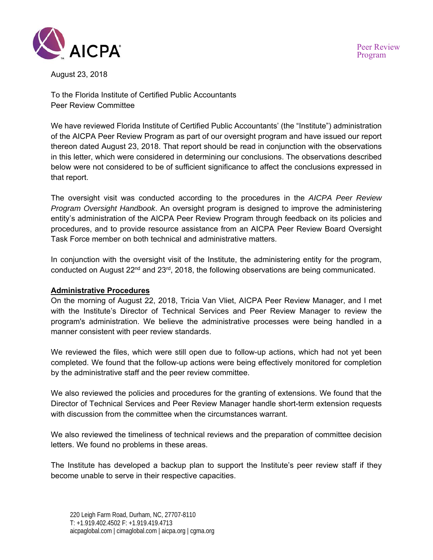

August 23, 2018

To the Florida Institute of Certified Public Accountants Peer Review Committee

We have reviewed Florida Institute of Certified Public Accountants' (the "Institute") administration of the AICPA Peer Review Program as part of our oversight program and have issued our report thereon dated August 23, 2018. That report should be read in conjunction with the observations in this letter, which were considered in determining our conclusions. The observations described below were not considered to be of sufficient significance to affect the conclusions expressed in that report.

The oversight visit was conducted according to the procedures in the *AICPA Peer Review Program Oversight Handbook*. An oversight program is designed to improve the administering entity's administration of the AICPA Peer Review Program through feedback on its policies and procedures, and to provide resource assistance from an AICPA Peer Review Board Oversight Task Force member on both technical and administrative matters.

In conjunction with the oversight visit of the Institute, the administering entity for the program, conducted on August 22<sup>nd</sup> and 23<sup>rd</sup>, 2018, the following observations are being communicated.

## **Administrative Procedures**

On the morning of August 22, 2018, Tricia Van Vliet, AICPA Peer Review Manager, and I met with the Institute's Director of Technical Services and Peer Review Manager to review the program's administration. We believe the administrative processes were being handled in a manner consistent with peer review standards.

We reviewed the files, which were still open due to follow-up actions, which had not yet been completed. We found that the follow-up actions were being effectively monitored for completion by the administrative staff and the peer review committee.

We also reviewed the policies and procedures for the granting of extensions. We found that the Director of Technical Services and Peer Review Manager handle short-term extension requests with discussion from the committee when the circumstances warrant.

We also reviewed the timeliness of technical reviews and the preparation of committee decision letters. We found no problems in these areas.

The Institute has developed a backup plan to support the Institute's peer review staff if they become unable to serve in their respective capacities.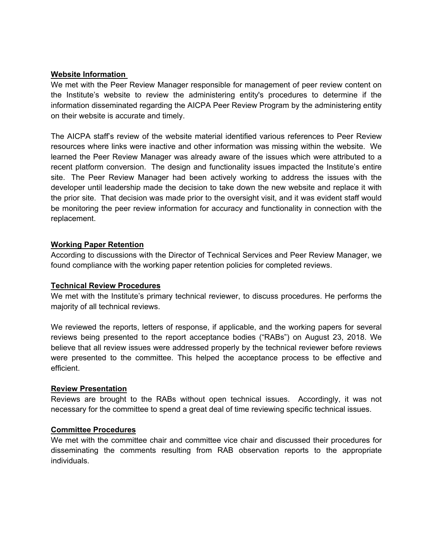### **Website Information**

We met with the Peer Review Manager responsible for management of peer review content on the Institute's website to review the administering entity's procedures to determine if the information disseminated regarding the AICPA Peer Review Program by the administering entity on their website is accurate and timely.

The AICPA staff's review of the website material identified various references to Peer Review resources where links were inactive and other information was missing within the website. We learned the Peer Review Manager was already aware of the issues which were attributed to a recent platform conversion. The design and functionality issues impacted the Institute's entire site. The Peer Review Manager had been actively working to address the issues with the developer until leadership made the decision to take down the new website and replace it with the prior site. That decision was made prior to the oversight visit, and it was evident staff would be monitoring the peer review information for accuracy and functionality in connection with the replacement.

## **Working Paper Retention**

According to discussions with the Director of Technical Services and Peer Review Manager, we found compliance with the working paper retention policies for completed reviews.

#### **Technical Review Procedures**

We met with the Institute's primary technical reviewer, to discuss procedures. He performs the majority of all technical reviews.

We reviewed the reports, letters of response, if applicable, and the working papers for several reviews being presented to the report acceptance bodies ("RABs") on August 23, 2018. We believe that all review issues were addressed properly by the technical reviewer before reviews were presented to the committee. This helped the acceptance process to be effective and efficient.

#### **Review Presentation**

Reviews are brought to the RABs without open technical issues. Accordingly, it was not necessary for the committee to spend a great deal of time reviewing specific technical issues.

#### **Committee Procedures**

We met with the committee chair and committee vice chair and discussed their procedures for disseminating the comments resulting from RAB observation reports to the appropriate individuals.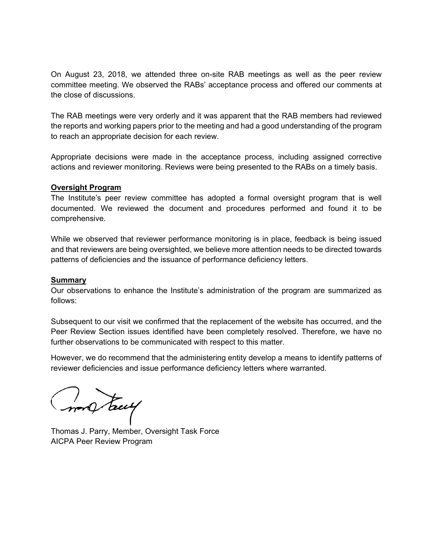On August 23, 2018, we attended three on-site RAB meetings as well as the peer review committee meeting. We observed the RABs' acceptance process and offered our comments at the close of discussions.

The RAB meetings were very orderly and it was apparent that the RAB members had reviewed the reports and working papers prior to the meeting and had a good understanding of the program to reach an appropriate decision for each review.

Appropriate decisions were made in the acceptance process, including assigned corrective actions and reviewer monitoring. Reviews were being presented to the RABs on a timely basis.

#### **Oversight Program**

The Institute's peer review committee has adopted a formal oversight program that is well documented. We reviewed the document and procedures performed and found it to be comprehensive.

While we observed that reviewer performance monitoring is in place, feedback is being issued and that reviewers are being oversighted, we believe more attention needs to be directed towards patterns of deficiencies and the issuance of performance deficiency letters.

#### **Summary**

Our observations to enhance the Institute's administration of the program are summarized as follows:

Subsequent to our visit we confirmed that the replacement of the website has occurred, and the Peer Review Section issues identified have been completely resolved. Therefore, we have no further observations to be communicated with respect to this matter.

However, we do recommend that the administering entity develop a means to identify patterns of reviewer deficiencies and issue performance deficiency letters where warranted.

money tacey

Thomas J. Parry, Member, Oversight Task Force AICPA Peer Review Program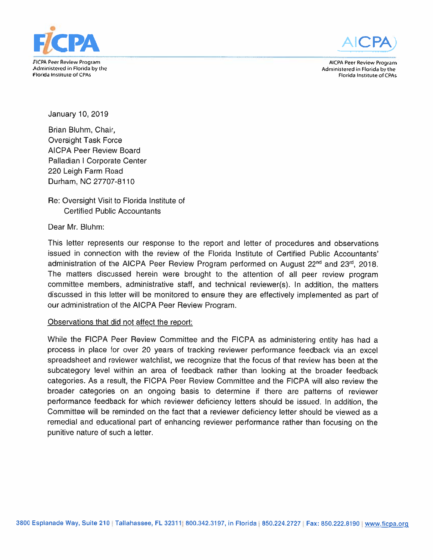

**AICPA Peer Review Program** Administered in Florida by the Florida Institute of CPAs

Administered in Florida by the Florida Institute of CPAs

January 10, 2019

Brian Bluhm, Chair, **Oversight Task Force AICPA Peer Review Board** Palladian | Corporate Center 220 Leigh Farm Road Durham, NC 27707-8110

Re: Oversight Visit to Florida Institute of **Certified Public Accountants** 

Dear Mr. Bluhm:

This letter represents our response to the report and letter of procedures and observations issued in connection with the review of the Florida Institute of Certified Public Accountants' administration of the AICPA Peer Review Program performed on August 22<sup>nd</sup> and 23<sup>rd</sup>, 2018. The matters discussed herein were brought to the attention of all peer review program committee members, administrative staff, and technical reviewer(s). In addition, the matters discussed in this letter will be monitored to ensure they are effectively implemented as part of our administration of the AICPA Peer Review Program.

## Observations that did not affect the report:

While the FICPA Peer Review Committee and the FICPA as administering entity has had a process in place for over 20 years of tracking reviewer performance feedback via an excel spreadsheet and reviewer watchlist, we recognize that the focus of that review has been at the subcategory level within an area of feedback rather than looking at the broader feedback categories. As a result, the FICPA Peer Review Committee and the FICPA will also review the broader categories on an ongoing basis to determine if there are patterns of reviewer performance feedback for which reviewer deficiency letters should be issued. In addition, the Committee will be reminded on the fact that a reviewer deficiency letter should be viewed as a remedial and educational part of enhancing reviewer performance rather than focusing on the punitive nature of such a letter.